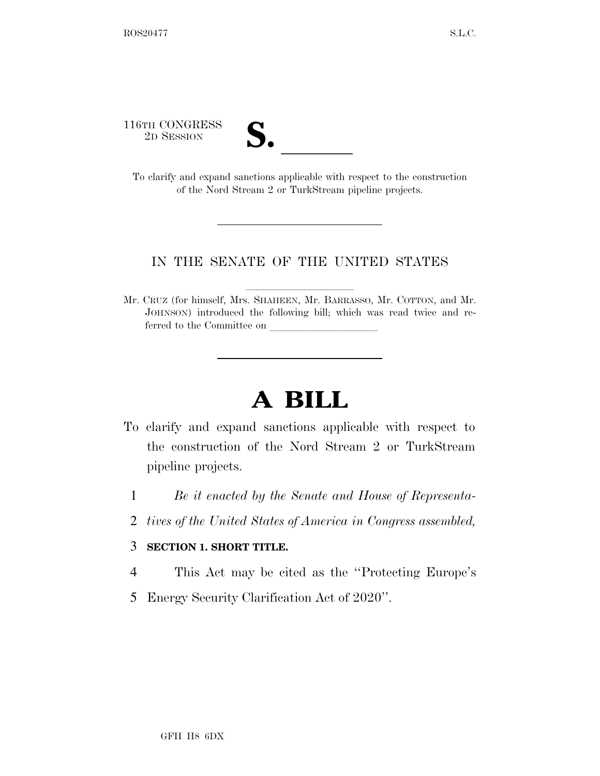116TH CONGRESS

16TH CONGRESS<br>
2D SESSION<br>
To clarify and expand sanctions applicable with respect to the construction of the Nord Stream 2 or TurkStream pipeline projects.

## IN THE SENATE OF THE UNITED STATES

Mr. CRUZ (for himself, Mrs. SHAHEEN, Mr. BARRASSO, Mr. COTTON, and Mr. JOHNSON) introduced the following bill; which was read twice and referred to the Committee on

## **A BILL**

- To clarify and expand sanctions applicable with respect to the construction of the Nord Stream 2 or TurkStream pipeline projects.
	- 1 *Be it enacted by the Senate and House of Representa-*
	- 2 *tives of the United States of America in Congress assembled,*

## 3 **SECTION 1. SHORT TITLE.**

- 4 This Act may be cited as the ''Protecting Europe's
- 5 Energy Security Clarification Act of 2020''.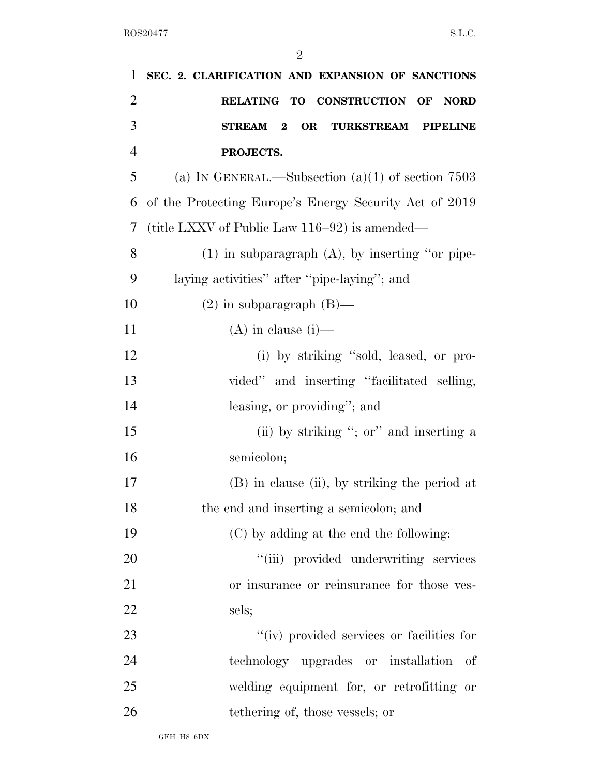| 1              | SEC. 2. CLARIFICATION AND EXPANSION OF SANCTIONS       |
|----------------|--------------------------------------------------------|
| $\overline{2}$ | RELATING TO CONSTRUCTION OF<br><b>NORD</b>             |
| 3              | OR<br><b>TURKSTREAM</b><br>STREAM 2<br><b>PIPELINE</b> |
| $\overline{4}$ | PROJECTS.                                              |
| 5              | (a) IN GENERAL.—Subsection $(a)(1)$ of section 7503    |
| 6              | of the Protecting Europe's Energy Security Act of 2019 |
| 7              | (title LXXV of Public Law 116–92) is amended—          |
| 8              | $(1)$ in subparagraph $(A)$ , by inserting "or pipe-   |
| 9              | laying activities" after "pipe-laying"; and            |
| 10             | $(2)$ in subparagraph $(B)$ —                          |
| 11             | $(A)$ in clause $(i)$ —                                |
| 12             | (i) by striking "sold, leased, or pro-                 |
| 13             | vided" and inserting "facilitated selling,             |
| 14             | leasing, or providing"; and                            |
| 15             | (ii) by striking "; or" and inserting a                |
| 16             | semicolon;                                             |
| 17             | (B) in clause (ii), by striking the period at          |
| 18             | the end and inserting a semicolon; and                 |
| 19             | (C) by adding at the end the following:                |
| 20             | "(iii) provided underwriting services                  |
| 21             | or insurance or reinsurance for those ves-             |
| 22             | sels;                                                  |
| 23             | "(iv) provided services or facilities for              |
| 24             | technology upgrades or installation<br>- of            |
| 25             | welding equipment for, or retrofitting or              |
| 26             | tethering of, those vessels; or                        |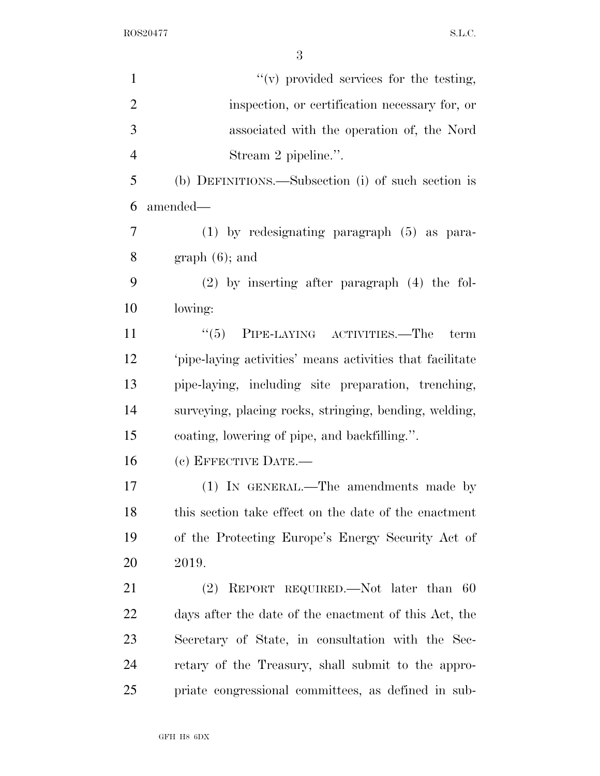ROS20477 S.L.C.

| $\mathbf{1}$   | "(v) provided services for the testing,                  |
|----------------|----------------------------------------------------------|
| $\overline{2}$ | inspection, or certification necessary for, or           |
| 3              | associated with the operation of, the Nord               |
| $\overline{4}$ | Stream 2 pipeline.".                                     |
| 5              | (b) DEFINITIONS.—Subsection (i) of such section is       |
| 6              | amended—                                                 |
| $\overline{7}$ | (1) by redesignating paragraph (5) as para-              |
| 8              | $graph(6)$ ; and                                         |
| 9              | $(2)$ by inserting after paragraph $(4)$ the fol-        |
| 10             | lowing:                                                  |
| 11             | $\cdot\cdot$ (5) PIPE-LAYING ACTIVITIES.—The<br>term     |
| 12             | pipe-laying activities' means activities that facilitate |
| 13             | pipe-laying, including site preparation, trenching,      |
| 14             | surveying, placing rocks, stringing, bending, welding,   |
| 15             | coating, lowering of pipe, and backfilling.".            |
| 16             | (c) EFFECTIVE DATE.-                                     |
| 17             | (1) IN GENERAL.—The amendments made by                   |
| 18             | this section take effect on the date of the enactment    |
| 19             | of the Protecting Europe's Energy Security Act of        |
| 20             | 2019.                                                    |
| 21             | REPORT REQUIRED.—Not later than<br>(2)<br>-60            |
| 22             | days after the date of the enactment of this Act, the    |
| 23             | Secretary of State, in consultation with the Sec-        |
| 24             | retary of the Treasury, shall submit to the appro-       |
| 25             | priate congressional committees, as defined in sub-      |
|                |                                                          |